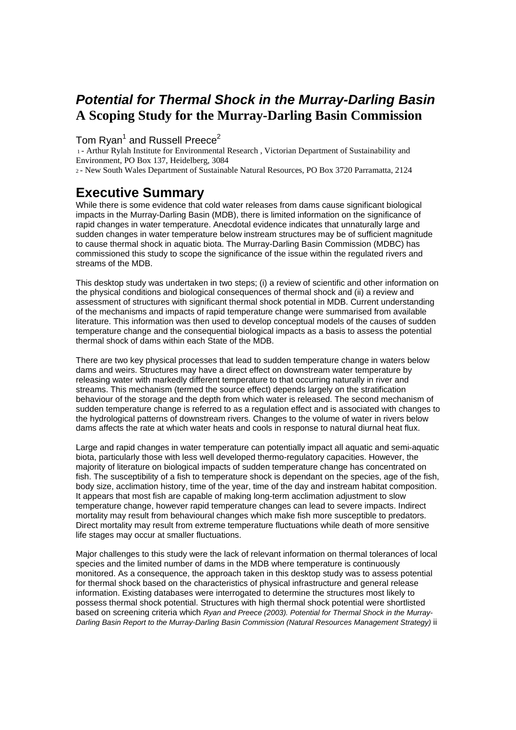## *Potential for Thermal Shock in the Murray-Darling Basin* **A Scoping Study for the Murray-Darling Basin Commission**

## Tom Ryan<sup>1</sup> and Russell Preece<sup>2</sup>

 1 - Arthur Rylah Institute for Environmental Research , Victorian Department of Sustainability and Environment, PO Box 137, Heidelberg, 3084

2 - New South Wales Department of Sustainable Natural Resources, PO Box 3720 Parramatta, 2124

## **Executive Summary**

While there is some evidence that cold water releases from dams cause significant biological impacts in the Murray-Darling Basin (MDB), there is limited information on the significance of rapid changes in water temperature. Anecdotal evidence indicates that unnaturally large and sudden changes in water temperature below instream structures may be of sufficient magnitude to cause thermal shock in aquatic biota. The Murray-Darling Basin Commission (MDBC) has commissioned this study to scope the significance of the issue within the regulated rivers and streams of the MDB.

This desktop study was undertaken in two steps; (i) a review of scientific and other information on the physical conditions and biological consequences of thermal shock and (ii) a review and assessment of structures with significant thermal shock potential in MDB. Current understanding of the mechanisms and impacts of rapid temperature change were summarised from available literature. This information was then used to develop conceptual models of the causes of sudden temperature change and the consequential biological impacts as a basis to assess the potential thermal shock of dams within each State of the MDB.

There are two key physical processes that lead to sudden temperature change in waters below dams and weirs. Structures may have a direct effect on downstream water temperature by releasing water with markedly different temperature to that occurring naturally in river and streams. This mechanism (termed the source effect) depends largely on the stratification behaviour of the storage and the depth from which water is released. The second mechanism of sudden temperature change is referred to as a regulation effect and is associated with changes to the hydrological patterns of downstream rivers. Changes to the volume of water in rivers below dams affects the rate at which water heats and cools in response to natural diurnal heat flux.

Large and rapid changes in water temperature can potentially impact all aquatic and semi-aquatic biota, particularly those with less well developed thermo-regulatory capacities. However, the majority of literature on biological impacts of sudden temperature change has concentrated on fish. The susceptibility of a fish to temperature shock is dependant on the species, age of the fish, body size, acclimation history, time of the year, time of the day and instream habitat composition. It appears that most fish are capable of making long-term acclimation adjustment to slow temperature change, however rapid temperature changes can lead to severe impacts. Indirect mortality may result from behavioural changes which make fish more susceptible to predators. Direct mortality may result from extreme temperature fluctuations while death of more sensitive life stages may occur at smaller fluctuations.

Major challenges to this study were the lack of relevant information on thermal tolerances of local species and the limited number of dams in the MDB where temperature is continuously monitored. As a consequence, the approach taken in this desktop study was to assess potential for thermal shock based on the characteristics of physical infrastructure and general release information. Existing databases were interrogated to determine the structures most likely to possess thermal shock potential. Structures with high thermal shock potential were shortlisted based on screening criteria which *Ryan and Preece (2003). Potential for Thermal Shock in the Murray-Darling Basin Report to the Murray-Darling Basin Commission (Natural Resources Management Strategy)* ii